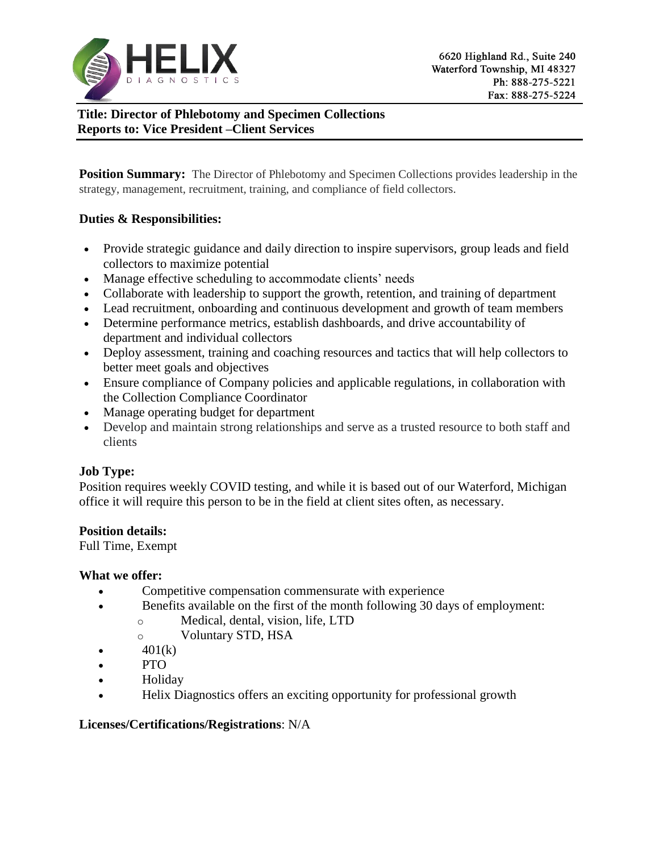

**Title: Director of Phlebotomy and Specimen Collections Reports to: Vice President –Client Services**

**Position Summary:** The Director of Phlebotomy and Specimen Collections provides leadership in the strategy, management, recruitment, training, and compliance of field collectors.

# **Duties & Responsibilities:**

- Provide strategic guidance and daily direction to inspire supervisors, group leads and field collectors to maximize potential
- Manage effective scheduling to accommodate clients' needs
- Collaborate with leadership to support the growth, retention, and training of department
- Lead recruitment, onboarding and continuous development and growth of team members
- Determine performance metrics, establish dashboards, and drive accountability of department and individual collectors
- Deploy assessment, training and coaching resources and tactics that will help collectors to better meet goals and objectives
- Ensure compliance of Company policies and applicable regulations, in collaboration with the Collection Compliance Coordinator
- Manage operating budget for department
- Develop and maintain strong relationships and serve as a trusted resource to both staff and clients

# **Job Type:**

Position requires weekly COVID testing, and while it is based out of our Waterford, Michigan office it will require this person to be in the field at client sites often, as necessary.

### **Position details:**

Full Time, Exempt

### **What we offer:**

- Competitive compensation commensurate with experience
- Benefits available on the first of the month following 30 days of employment:
	- o Medical, dental, vision, life, LTD
	- o Voluntary STD, HSA
- $\bullet$  401(k)
- $\bullet$  PTO
- Holiday
- Helix Diagnostics offers an exciting opportunity for professional growth

# **Licenses/Certifications/Registrations**: N/A